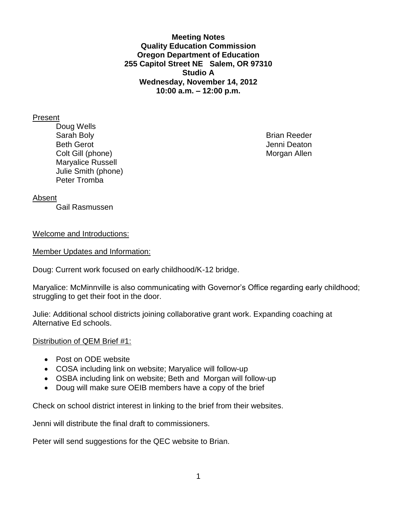**Meeting Notes Quality Education Commission Oregon Department of Education 255 Capitol Street NE Salem, OR 97310 Studio A Wednesday, November 14, 2012 10:00 a.m. – 12:00 p.m.**

#### Present

Doug Wells Sarah Boly **Brian Reeder Brian Reeder** Beth Gerot **Gerot** Jenni Deaton **Jenni Deaton** Colt Gill (phone) **Morgan Allen** Maryalice Russell Julie Smith (phone) Peter Tromba

### Absent

Gail Rasmussen

#### Welcome and Introductions:

Member Updates and Information:

Doug: Current work focused on early childhood/K-12 bridge.

Maryalice: McMinnville is also communicating with Governor's Office regarding early childhood; struggling to get their foot in the door.

Julie: Additional school districts joining collaborative grant work. Expanding coaching at Alternative Ed schools.

### Distribution of QEM Brief #1:

- Post on ODE website
- COSA including link on website; Maryalice will follow-up
- OSBA including link on website; Beth and Morgan will follow-up
- Doug will make sure OEIB members have a copy of the brief

Check on school district interest in linking to the brief from their websites.

Jenni will distribute the final draft to commissioners.

Peter will send suggestions for the QEC website to Brian.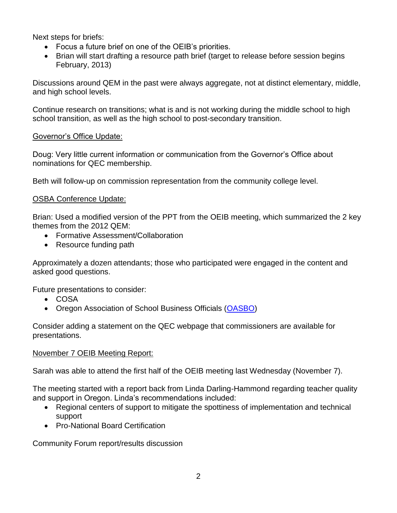Next steps for briefs:

- Focus a future brief on one of the OEIB's priorities.
- Brian will start drafting a resource path brief (target to release before session begins February, 2013)

Discussions around QEM in the past were always aggregate, not at distinct elementary, middle, and high school levels.

Continue research on transitions; what is and is not working during the middle school to high school transition, as well as the high school to post-secondary transition.

## Governor's Office Update:

Doug: Very little current information or communication from the Governor's Office about nominations for QEC membership.

Beth will follow-up on commission representation from the community college level.

## OSBA Conference Update:

Brian: Used a modified version of the PPT from the OEIB meeting, which summarized the 2 key themes from the 2012 QEM:

- Formative Assessment/Collaboration
- Resource funding path

Approximately a dozen attendants; those who participated were engaged in the content and asked good questions.

Future presentations to consider:

- COSA
- Oregon Association of School Business Officials [\(OASBO\)](https://netforum.avectra.com/eWeb/StartPage.aspx?Site=OASBO1&WebCode=HomePage)

Consider adding a statement on the QEC webpage that commissioners are available for presentations.

### November 7 OEIB Meeting Report:

Sarah was able to attend the first half of the OEIB meeting last Wednesday (November 7).

The meeting started with a report back from Linda Darling-Hammond regarding teacher quality and support in Oregon. Linda's recommendations included:

- Regional centers of support to mitigate the spottiness of implementation and technical support
- Pro-National Board Certification

Community Forum report/results discussion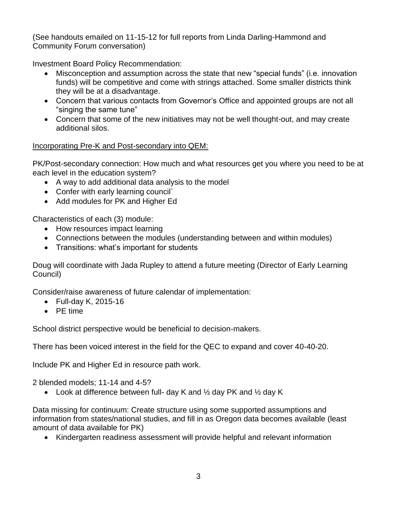(See handouts emailed on 11-15-12 for full reports from Linda Darling-Hammond and Community Forum conversation)

Investment Board Policy Recommendation:

- Misconception and assumption across the state that new "special funds" (i.e. innovation funds) will be competitive and come with strings attached. Some smaller districts think they will be at a disadvantage.
- Concern that various contacts from Governor's Office and appointed groups are not all "singing the same tune"
- Concern that some of the new initiatives may not be well thought-out, and may create additional silos.

# Incorporating Pre-K and Post-secondary into QEM:

PK/Post-secondary connection: How much and what resources get you where you need to be at each level in the education system?

- A way to add additional data analysis to the model
- Confer with early learning council`
- Add modules for PK and Higher Ed

Characteristics of each (3) module:

- How resources impact learning
- Connections between the modules (understanding between and within modules)
- Transitions: what's important for students

Doug will coordinate with Jada Rupley to attend a future meeting (Director of Early Learning Council)

Consider/raise awareness of future calendar of implementation:

- Full-day K, 2015-16
- PE time

School district perspective would be beneficial to decision-makers.

There has been voiced interest in the field for the QEC to expand and cover 40-40-20.

Include PK and Higher Ed in resource path work.

2 blended models; 11-14 and 4-5?

• Look at difference between full- day K and  $\frac{1}{2}$  day PK and  $\frac{1}{2}$  day K

Data missing for continuum: Create structure using some supported assumptions and information from states/national studies, and fill in as Oregon data becomes available (least amount of data available for PK)

Kindergarten readiness assessment will provide helpful and relevant information